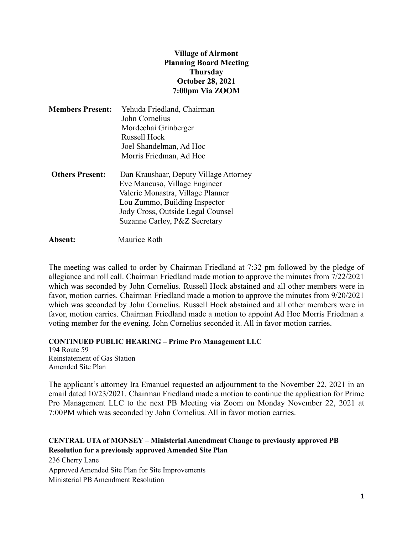## **Village of Airmont Planning Board Meeting Thursday October 28, 2021 7:00pm Via ZOOM**

| <b>Members Present:</b> | Yehuda Friedland, Chairman             |
|-------------------------|----------------------------------------|
|                         | John Cornelius                         |
|                         | Mordechai Grinberger                   |
|                         | <b>Russell Hock</b>                    |
|                         | Joel Shandelman, Ad Hoc                |
|                         | Morris Friedman, Ad Hoc                |
| <b>Others Present:</b>  | Dan Kraushaar, Deputy Village Attorney |
|                         | Eve Mancuso, Village Engineer          |
|                         |                                        |

 Valerie Monastra, Village Planner Lou Zummo, Building Inspector Jody Cross, Outside Legal Counsel Suzanne Carley, P&Z Secretary

**Absent:** Maurice Roth

The meeting was called to order by Chairman Friedland at 7:32 pm followed by the pledge of allegiance and roll call. Chairman Friedland made motion to approve the minutes from 7/22/2021 which was seconded by John Cornelius. Russell Hock abstained and all other members were in favor, motion carries. Chairman Friedland made a motion to approve the minutes from 9/20/2021 which was seconded by John Cornelius. Russell Hock abstained and all other members were in favor, motion carries. Chairman Friedland made a motion to appoint Ad Hoc Morris Friedman a voting member for the evening. John Cornelius seconded it. All in favor motion carries.

**CONTINUED PUBLIC HEARING – Prime Pro Management LLC**

194 Route 59 Reinstatement of Gas Station Amended Site Plan

The applicant's attorney Ira Emanuel requested an adjournment to the November 22, 2021 in an email dated 10/23/2021. Chairman Friedland made a motion to continue the application for Prime Pro Management LLC to the next PB Meeting via Zoom on Monday November 22, 2021 at 7:00PM which was seconded by John Cornelius. All in favor motion carries.

## **CENTRAL UTA of MONSEY** – **Ministerial Amendment Change to previously approved PB Resolution for a previously approved Amended Site Plan**

236 Cherry Lane Approved Amended Site Plan for Site Improvements Ministerial PB Amendment Resolution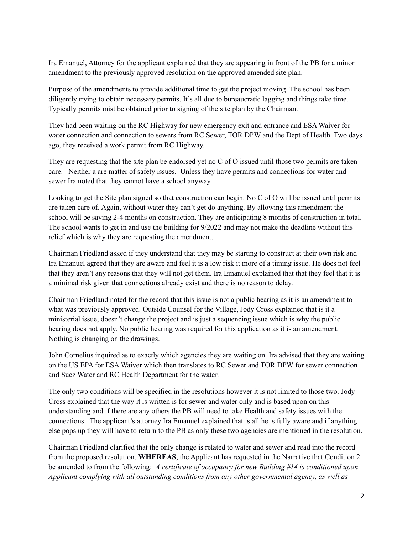Ira Emanuel, Attorney for the applicant explained that they are appearing in front of the PB for a minor amendment to the previously approved resolution on the approved amended site plan.

Purpose of the amendments to provide additional time to get the project moving. The school has been diligently trying to obtain necessary permits. It's all due to bureaucratic lagging and things take time. Typically permits mist be obtained prior to signing of the site plan by the Chairman.

They had been waiting on the RC Highway for new emergency exit and entrance and ESA Waiver for water connection and connection to sewers from RC Sewer, TOR DPW and the Dept of Health. Two days ago, they received a work permit from RC Highway.

They are requesting that the site plan be endorsed yet no C of O issued until those two permits are taken care. Neither a are matter of safety issues. Unless they have permits and connections for water and sewer Ira noted that they cannot have a school anyway.

Looking to get the Site plan signed so that construction can begin. No C of O will be issued until permits are taken care of. Again, without water they can't get do anything. By allowing this amendment the school will be saving 2-4 months on construction. They are anticipating 8 months of construction in total. The school wants to get in and use the building for 9/2022 and may not make the deadline without this relief which is why they are requesting the amendment.

Chairman Friedland asked if they understand that they may be starting to construct at their own risk and Ira Emanuel agreed that they are aware and feel it is a low risk it more of a timing issue. He does not feel that they aren't any reasons that they will not get them. Ira Emanuel explained that that they feel that it is a minimal risk given that connections already exist and there is no reason to delay.

Chairman Friedland noted for the record that this issue is not a public hearing as it is an amendment to what was previously approved. Outside Counsel for the Village, Jody Cross explained that is it a ministerial issue, doesn't change the project and is just a sequencing issue which is why the public hearing does not apply. No public hearing was required for this application as it is an amendment. Nothing is changing on the drawings.

John Cornelius inquired as to exactly which agencies they are waiting on. Ira advised that they are waiting on the US EPA for ESA Waiver which then translates to RC Sewer and TOR DPW for sewer connection and Suez Water and RC Health Department for the water.

The only two conditions will be specified in the resolutions however it is not limited to those two. Jody Cross explained that the way it is written is for sewer and water only and is based upon on this understanding and if there are any others the PB will need to take Health and safety issues with the connections. The applicant's attorney Ira Emanuel explained that is all he is fully aware and if anything else pops up they will have to return to the PB as only these two agencies are mentioned in the resolution.

Chairman Friedland clarified that the only change is related to water and sewer and read into the record from the proposed resolution. **WHEREAS**, the Applicant has requested in the Narrative that Condition 2 be amended to from the following: *A certificate of occupancy for new Building #14 is conditioned upon Applicant complying with all outstanding conditions from any other governmental agency, as well as*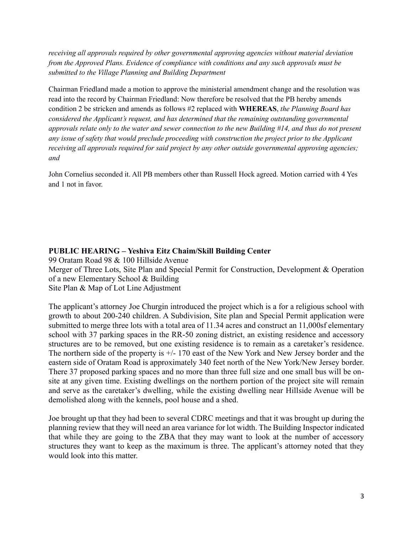*receiving all approvals required by other governmental approving agencies without material deviation from the Approved Plans. Evidence of compliance with conditions and any such approvals must be submitted to the Village Planning and Building Department*

Chairman Friedland made a motion to approve the ministerial amendment change and the resolution was read into the record by Chairman Friedland: Now therefore be resolved that the PB hereby amends condition 2 be stricken and amends as follows #2 replaced with **WHEREAS**, *the Planning Board has considered the Applicant's request, and has determined that the remaining outstanding governmental approvals relate only to the water and sewer connection to the new Building #14, and thus do not present any issue of safety that would preclude proceeding with construction the project prior to the Applicant receiving all approvals required for said project by any other outside governmental approving agencies; and*

John Cornelius seconded it. All PB members other than Russell Hock agreed. Motion carried with 4 Yes and 1 not in favor.

## **PUBLIC HEARING – Yeshiva Eitz Chaim/Skill Building Center**

99 Oratam Road 98 & 100 Hillside Avenue

Merger of Three Lots, Site Plan and Special Permit for Construction, Development & Operation of a new Elementary School & Building

Site Plan & Map of Lot Line Adjustment

The applicant's attorney Joe Churgin introduced the project which is a for a religious school with growth to about 200-240 children. A Subdivision, Site plan and Special Permit application were submitted to merge three lots with a total area of 11.34 acres and construct an 11,000sf elementary school with 37 parking spaces in the RR-50 zoning district, an existing residence and accessory structures are to be removed, but one existing residence is to remain as a caretaker's residence. The northern side of the property is +/- 170 east of the New York and New Jersey border and the eastern side of Oratam Road is approximately 340 feet north of the New York/New Jersey border. There 37 proposed parking spaces and no more than three full size and one small bus will be onsite at any given time. Existing dwellings on the northern portion of the project site will remain and serve as the caretaker's dwelling, while the existing dwelling near Hillside Avenue will be demolished along with the kennels, pool house and a shed.

Joe brought up that they had been to several CDRC meetings and that it was brought up during the planning review that they will need an area variance for lot width. The Building Inspector indicated that while they are going to the ZBA that they may want to look at the number of accessory structures they want to keep as the maximum is three. The applicant's attorney noted that they would look into this matter.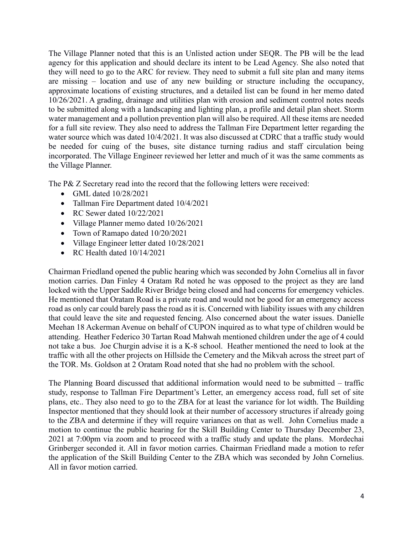The Village Planner noted that this is an Unlisted action under SEQR. The PB will be the lead agency for this application and should declare its intent to be Lead Agency. She also noted that they will need to go to the ARC for review. They need to submit a full site plan and many items are missing – location and use of any new building or structure including the occupancy, approximate locations of existing structures, and a detailed list can be found in her memo dated 10/26/2021. A grading, drainage and utilities plan with erosion and sediment control notes needs to be submitted along with a landscaping and lighting plan, a profile and detail plan sheet. Storm water management and a pollution prevention plan will also be required. All these items are needed for a full site review. They also need to address the Tallman Fire Department letter regarding the water source which was dated 10/4/2021. It was also discussed at CDRC that a traffic study would be needed for cuing of the buses, site distance turning radius and staff circulation being incorporated. The Village Engineer reviewed her letter and much of it was the same comments as the Village Planner.

The P& Z Secretary read into the record that the following letters were received:

- GML dated 10/28/2021
- Tallman Fire Department dated 10/4/2021
- RC Sewer dated  $10/22/2021$
- Village Planner memo dated  $10/26/2021$
- Town of Ramapo dated  $10/20/2021$
- Village Engineer letter dated 10/28/2021
- RC Health dated  $10/14/2021$

Chairman Friedland opened the public hearing which was seconded by John Cornelius all in favor motion carries. Dan Finley 4 Oratam Rd noted he was opposed to the project as they are land locked with the Upper Saddle River Bridge being closed and had concerns for emergency vehicles. He mentioned that Oratam Road is a private road and would not be good for an emergency access road as only car could barely pass the road as it is. Concerned with liability issues with any children that could leave the site and requested fencing. Also concerned about the water issues. Danielle Meehan 18 Ackerman Avenue on behalf of CUPON inquired as to what type of children would be attending. Heather Federico 30 Tartan Road Mahwah mentioned children under the age of 4 could not take a bus. Joe Churgin advise it is a K-8 school. Heather mentioned the need to look at the traffic with all the other projects on Hillside the Cemetery and the Mikvah across the street part of the TOR. Ms. Goldson at 2 Oratam Road noted that she had no problem with the school.

The Planning Board discussed that additional information would need to be submitted – traffic study, response to Tallman Fire Department's Letter, an emergency access road, full set of site plans, etc.. They also need to go to the ZBA for at least the variance for lot width. The Building Inspector mentioned that they should look at their number of accessory structures if already going to the ZBA and determine if they will require variances on that as well. John Cornelius made a motion to continue the public hearing for the Skill Building Center to Thursday December 23, 2021 at 7:00pm via zoom and to proceed with a traffic study and update the plans. Mordechai Grinberger seconded it. All in favor motion carries. Chairman Friedland made a motion to refer the application of the Skill Building Center to the ZBA which was seconded by John Cornelius. All in favor motion carried.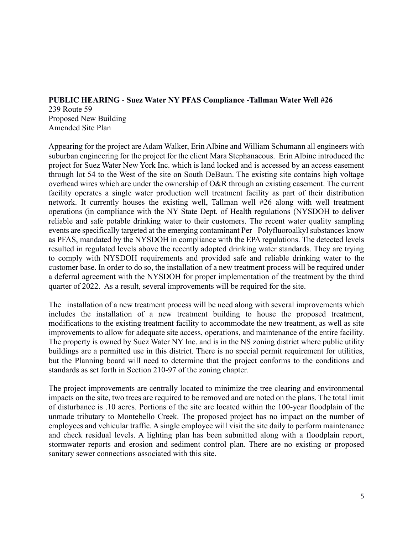## **PUBLIC HEARING** - **Suez Water NY PFAS Compliance -Tallman Water Well #26** 239 Route 59 Proposed New Building Amended Site Plan

Appearing for the project are Adam Walker, Erin Albine and William Schumann all engineers with suburban engineering for the project for the client Mara Stephanacous. Erin Albine introduced the project for Suez Water New York Inc. which is land locked and is accessed by an access easement through lot 54 to the West of the site on South DeBaun. The existing site contains high voltage overhead wires which are under the ownership of O&R through an existing easement. The current facility operates a single water production well treatment facility as part of their distribution network. It currently houses the existing well, Tallman well #26 along with well treatment operations (in compliance with the NY State Dept. of Health regulations (NYSDOH to deliver reliable and safe potable drinking water to their customers. The recent water quality sampling events are specifically targeted at the emerging contaminant Per– Polyfluoroalkyl substances know as PFAS, mandated by the NYSDOH in compliance with the EPA regulations. The detected levels resulted in regulated levels above the recently adopted drinking water standards. They are trying to comply with NYSDOH requirements and provided safe and reliable drinking water to the customer base. In order to do so, the installation of a new treatment process will be required under a deferral agreement with the NYSDOH for proper implementation of the treatment by the third quarter of 2022. As a result, several improvements will be required for the site.

The installation of a new treatment process will be need along with several improvements which includes the installation of a new treatment building to house the proposed treatment, modifications to the existing treatment facility to accommodate the new treatment, as well as site improvements to allow for adequate site access, operations, and maintenance of the entire facility. The property is owned by Suez Water NY Inc. and is in the NS zoning district where public utility buildings are a permitted use in this district. There is no special permit requirement for utilities, but the Planning board will need to determine that the project conforms to the conditions and standards as set forth in Section 210-97 of the zoning chapter.

The project improvements are centrally located to minimize the tree clearing and environmental impacts on the site, two trees are required to be removed and are noted on the plans. The total limit of disturbance is .10 acres. Portions of the site are located within the 100-year floodplain of the unmade tributary to Montebello Creek. The proposed project has no impact on the number of employees and vehicular traffic. A single employee will visit the site daily to perform maintenance and check residual levels. A lighting plan has been submitted along with a floodplain report, stormwater reports and erosion and sediment control plan. There are no existing or proposed sanitary sewer connections associated with this site.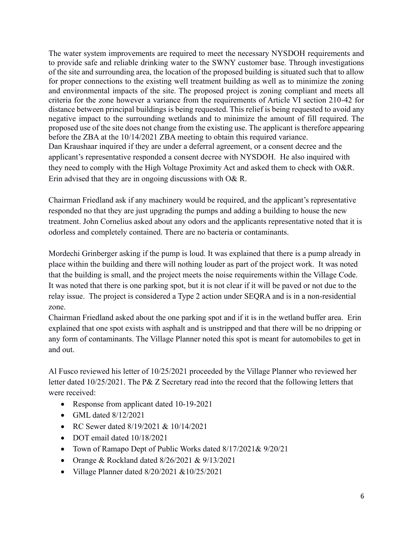The water system improvements are required to meet the necessary NYSDOH requirements and to provide safe and reliable drinking water to the SWNY customer base. Through investigations of the site and surrounding area, the location of the proposed building is situated such that to allow for proper connections to the existing well treatment building as well as to minimize the zoning and environmental impacts of the site. The proposed project is zoning compliant and meets all criteria for the zone however a variance from the requirements of Article VI section 210-42 for distance between principal buildings is being requested. This relief is being requested to avoid any negative impact to the surrounding wetlands and to minimize the amount of fill required. The proposed use of the site does not change from the existing use. The applicant is therefore appearing before the ZBA at the 10/14/2021 ZBA meeting to obtain this required variance. Dan Kraushaar inquired if they are under a deferral agreement, or a consent decree and the applicant's representative responded a consent decree with NYSDOH. He also inquired with they need to comply with the High Voltage Proximity Act and asked them to check with O&R. Erin advised that they are in ongoing discussions with O& R.

Chairman Friedland ask if any machinery would be required, and the applicant's representative responded no that they are just upgrading the pumps and adding a building to house the new treatment. John Cornelius asked about any odors and the applicants representative noted that it is odorless and completely contained. There are no bacteria or contaminants.

Mordechi Grinberger asking if the pump is loud. It was explained that there is a pump already in place within the building and there will nothing louder as part of the project work. It was noted that the building is small, and the project meets the noise requirements within the Village Code. It was noted that there is one parking spot, but it is not clear if it will be paved or not due to the relay issue. The project is considered a Type 2 action under SEQRA and is in a non-residential zone.

Chairman Friedland asked about the one parking spot and if it is in the wetland buffer area. Erin explained that one spot exists with asphalt and is unstripped and that there will be no dripping or any form of contaminants. The Village Planner noted this spot is meant for automobiles to get in and out.

Al Fusco reviewed his letter of 10/25/2021 proceeded by the Village Planner who reviewed her letter dated 10/25/2021. The P& Z Secretary read into the record that the following letters that were received:

- Response from applicant dated 10-19-2021
- GML dated  $8/12/2021$
- RC Sewer dated 8/19/2021 & 10/14/2021
- DOT email dated  $10/18/2021$
- Town of Ramapo Dept of Public Works dated 8/17/2021& 9/20/21
- Orange & Rockland dated 8/26/2021 & 9/13/2021
- Village Planner dated 8/20/2021 &10/25/2021